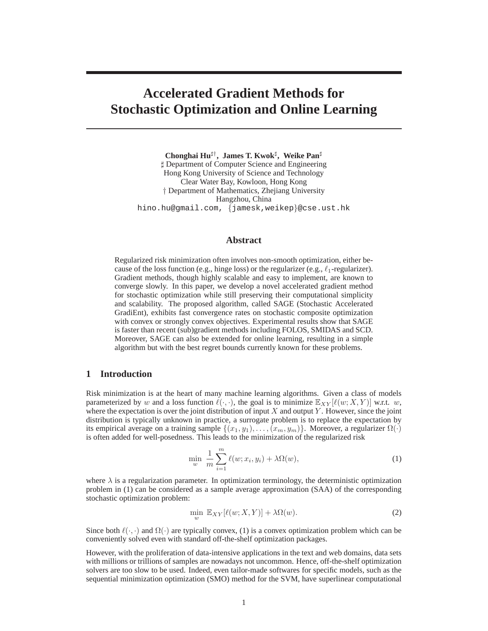# **Accelerated Gradient Methods for Stochastic Optimization and Online Learning**

**Chonghai Hu**♯† **, James T. Kwok**<sup>♯</sup> **, Weike Pan**<sup>♯</sup> ♯ Department of Computer Science and Engineering Hong Kong University of Science and Technology Clear Water Bay, Kowloon, Hong Kong † Department of Mathematics, Zhejiang University Hangzhou, China hino.hu@gmail.com, {jamesk,weikep}@cse.ust.hk

## **Abstract**

Regularized risk minimization often involves non-smooth optimization, either because of the loss function (e.g., hinge loss) or the regularizer (e.g.,  $\ell_1$ -regularizer). Gradient methods, though highly scalable and easy to implement, are known to converge slowly. In this paper, we develop a novel accelerated gradient method for stochastic optimization while still preserving their computational simplicity and scalability. The proposed algorithm, called SAGE (Stochastic Accelerated GradiEnt), exhibits fast convergence rates on stochastic composite optimization with convex or strongly convex objectives. Experimental results show that SAGE is faster than recent (sub)gradient methods including FOLOS, SMIDAS and SCD. Moreover, SAGE can also be extended for online learning, resulting in a simple algorithm but with the best regret bounds currently known for these problems.

# **1 Introduction**

Risk minimization is at the heart of many machine learning algorithms. Given a class of models parameterized by w and a loss function  $\ell(\cdot, \cdot)$ , the goal is to minimize  $\mathbb{E}_{XY}[\ell(w; X, Y)]$  w.r.t. w, where the expectation is over the joint distribution of input  $X$  and output  $Y$ . However, since the joint distribution is typically unknown in practice, a surrogate problem is to replace the expectation by its empirical average on a training sample  $\{(x_1,y_1),\ldots,(x_m,y_m)\}$ . Moreover, a regularizer  $\Omega(\cdot)$ is often added for well-posedness. This leads to the minimization of the regularized risk

$$
\min_{w} \frac{1}{m} \sum_{i=1}^{m} \ell(w; x_i, y_i) + \lambda \Omega(w), \tag{1}
$$

where  $\lambda$  is a regularization parameter. In optimization terminology, the deterministic optimization problem in (1) can be considered as a sample average approximation (SAA) of the corresponding stochastic optimization problem:

$$
\min_{w} \mathbb{E}_{XY}[\ell(w; X, Y)] + \lambda \Omega(w). \tag{2}
$$

Since both  $\ell(\cdot, \cdot)$  and  $\Omega(\cdot)$  are typically convex, (1) is a convex optimization problem which can be conveniently solved even with standard off-the-shelf optimization packages.

However, with the proliferation of data-intensive applications in the text and web domains, data sets with millions or trillions of samples are nowadays not uncommon. Hence, off-the-shelf optimization solvers are too slow to be used. Indeed, even tailor-made softwares for specific models, such as the sequential minimization optimization (SMO) method for the SVM, have superlinear computational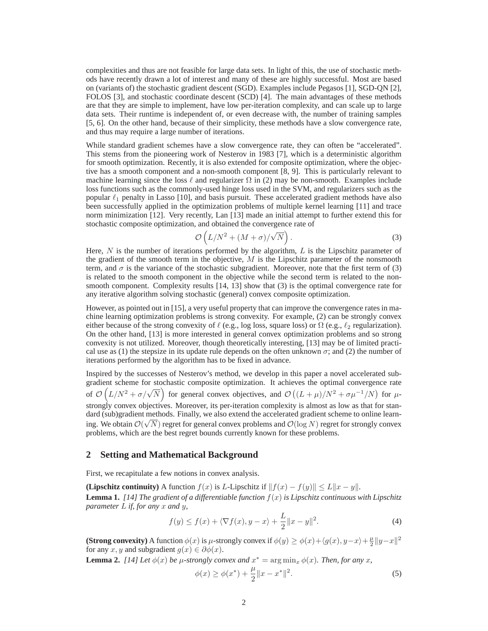complexities and thus are not feasible for large data sets. In light of this, the use of stochastic methods have recently drawn a lot of interest and many of these are highly successful. Most are based on (variants of) the stochastic gradient descent (SGD). Examples include Pegasos [1], SGD-QN [2], FOLOS [3], and stochastic coordinate descent (SCD) [4]. The main advantages of these methods are that they are simple to implement, have low per-iteration complexity, and can scale up to large data sets. Their runtime is independent of, or even decrease with, the number of training samples [5, 6]. On the other hand, because of their simplicity, these methods have a slow convergence rate, and thus may require a large number of iterations.

While standard gradient schemes have a slow convergence rate, they can often be "accelerated". This stems from the pioneering work of Nesterov in 1983 [7], which is a deterministic algorithm for smooth optimization. Recently, it is also extended for composite optimization, where the objective has a smooth component and a non-smooth component [8, 9]. This is particularly relevant to machine learning since the loss  $\ell$  and regularizer  $\Omega$  in (2) may be non-smooth. Examples include loss functions such as the commonly-used hinge loss used in the SVM, and regularizers such as the popular  $\ell_1$  penalty in Lasso [10], and basis pursuit. These accelerated gradient methods have also been successfully applied in the optimization problems of multiple kernel learning [11] and trace norm minimization [12]. Very recently, Lan [13] made an initial attempt to further extend this for stochastic composite optimization, and obtained the convergence rate of

$$
\mathcal{O}\left(L/N^2 + (M+\sigma)/\sqrt{N}\right). \tag{3}
$$

Here,  $N$  is the number of iterations performed by the algorithm,  $L$  is the Lipschitz parameter of the gradient of the smooth term in the objective,  $M$  is the Lipschitz parameter of the nonsmooth term, and  $\sigma$  is the variance of the stochastic subgradient. Moreover, note that the first term of (3) is related to the smooth component in the objective while the second term is related to the nonsmooth component. Complexity results [14, 13] show that (3) is the optimal convergence rate for any iterative algorithm solving stochastic (general) convex composite optimization.

However, as pointed out in [15], a very useful property that can improve the convergence rates in machine learning optimization problems is strong convexity. For example, (2) can be strongly convex either because of the strong convexity of  $\ell$  (e.g., log loss, square loss) or  $\Omega$  (e.g.,  $\ell_2$  regularization). On the other hand, [13] is more interested in general convex optimization problems and so strong convexity is not utilized. Moreover, though theoretically interesting, [13] may be of limited practical use as (1) the stepsize in its update rule depends on the often unknown  $\sigma$ ; and (2) the number of iterations performed by the algorithm has to be fixed in advance.

Inspired by the successes of Nesterov's method, we develop in this paper a novel accelerated subgradient scheme for stochastic composite optimization. It achieves the optimal convergence rate of  $\mathcal{O}\left(L/N^2 + \sigma/\sqrt{N}\right)$  for general convex objectives, and  $\mathcal{O}\left((L+\mu)/N^2 + \sigma\mu^{-1}/N\right)$  for  $\mu$ strongly convex objectives. Moreover, its per-iteration complexity is almost as low as that for standard (sub)gradient methods. Finally, we also extend the accelerated gradient scheme to online learning. We obtain  $\mathcal{O}(\sqrt{N})$  regret for general convex problems and  $\mathcal{O}(\log N)$  regret for strongly convex problems, which are the best regret bounds currently known for these problems.

#### **2 Setting and Mathematical Background**

First, we recapitulate a few notions in convex analysis.

**(Lipschitz continuity)** A function  $f(x)$  is L-Lipschitz if  $||f(x) - f(y)|| \le L||x - y||$ .

**Lemma 1.** *[14] The gradient of a differentiable function* f(x) *is Lipschitz continuous with Lipschitz parameter* L *if, for any* x *and* y*,*

$$
f(y) \le f(x) + \langle \nabla f(x), y - x \rangle + \frac{L}{2} ||x - y||^2.
$$
 (4)

**(Strong convexity)** A function  $\phi(x)$  is  $\mu$ -strongly convex if  $\phi(y) \ge \phi(x) + \langle g(x), y-x \rangle + \frac{\mu}{2}$  $\frac{\mu}{2} \|y - x\|^2$ for any x, y and subgradient  $g(x) \in \partial \phi(x)$ .

**Lemma 2.** [14] Let  $\phi(x)$  be  $\mu$ -strongly convex and  $x^* = \arg \min_x \phi(x)$ . Then, for any x,

$$
\phi(x) \ge \phi(x^*) + \frac{\mu}{2} \|x - x^*\|^2. \tag{5}
$$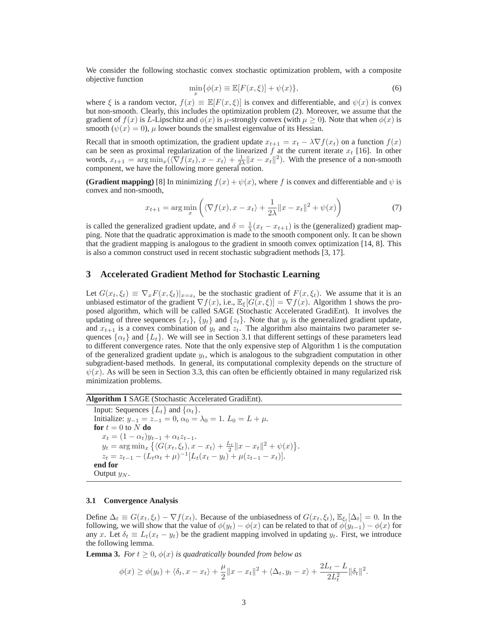We consider the following stochastic convex stochastic optimization problem, with a composite objective function

$$
\min_{x} \{ \phi(x) \equiv \mathbb{E}[F(x,\xi)] + \psi(x) \},\tag{6}
$$

where  $\xi$  is a random vector,  $f(x) \equiv \mathbb{E}[F(x,\xi)]$  is convex and differentiable, and  $\psi(x)$  is convex but non-smooth. Clearly, this includes the optimization problem (2). Moreover, we assume that the gradient of  $f(x)$  is L-Lipschitz and  $\phi(x)$  is  $\mu$ -strongly convex (with  $\mu > 0$ ). Note that when  $\phi(x)$  is smooth ( $\psi(x) = 0$ ),  $\mu$  lower bounds the smallest eigenvalue of its Hessian.

Recall that in smooth optimization, the gradient update  $x_{t+1} = x_t - \lambda \nabla f(x_t)$  on a function  $f(x)$ can be seen as proximal regularization of the linearized  $f$  at the current iterate  $x_t$  [16]. In other words,  $x_{t+1} = \arg \min_{x} (\langle \nabla f(x_t), x - x_t \rangle + \frac{1}{2\lambda} ||x - x_t||^2)$ . With the presence of a non-smooth component, we have the following more general notion.

**(Gradient mapping)** [8] In minimizing  $f(x) + \psi(x)$ , where f is convex and differentiable and  $\psi$  is convex and non-smooth,

$$
x_{t+1} = \arg\min_{x} \left( \langle \nabla f(x), x - x_t \rangle + \frac{1}{2\lambda} ||x - x_t||^2 + \psi(x) \right) \tag{7}
$$

is called the generalized gradient update, and  $\delta = \frac{1}{\lambda}(x_t - x_{t+1})$  is the (generalized) gradient mapping. Note that the quadratic approximation is made to the smooth component only. It can be shown that the gradient mapping is analogous to the gradient in smooth convex optimization [14, 8]. This is also a common construct used in recent stochastic subgradient methods [3, 17].

## **3 Accelerated Gradient Method for Stochastic Learning**

Let  $G(x_t, \xi_t) \equiv \nabla_x F(x, \xi_t)|_{x=x_t}$  be the stochastic gradient of  $F(x, \xi_t)$ . We assume that it is an unbiased estimator of the gradient  $\nabla f(x)$ , i.e.,  $\mathbb{E}_{\xi}[G(x,\xi)]=\nabla f(x)$ . Algorithm 1 shows the proposed algorithm, which will be called SAGE (Stochastic Accelerated GradiEnt). It involves the updating of three sequences  $\{x_t\}$ ,  $\{y_t\}$  and  $\{z_t\}$ . Note that  $y_t$  is the generalized gradient update, and  $x_{t+1}$  is a convex combination of  $y_t$  and  $z_t$ . The algorithm also maintains two parameter sequences  $\{\alpha_t\}$  and  $\{L_t\}$ . We will see in Section 3.1 that different settings of these parameters lead to different convergence rates. Note that the only expensive step of Algorithm 1 is the computation of the generalized gradient update  $y_t$ , which is analogous to the subgradient computation in other subgradient-based methods. In general, its computational complexity depends on the structure of  $\psi(x)$ . As will be seen in Section 3.3, this can often be efficiently obtained in many regularized risk minimization problems.

**Algorithm 1** SAGE (Stochastic Accelerated GradiEnt).

Input: Sequences  $\{L_t\}$  and  $\{\alpha_t\}$ . Initialize:  $y_{-1} = z_{-1} = 0$ ,  $\alpha_0 = \lambda_0 = 1$ .  $L_0 = L + \mu$ . **for**  $t = 0$  to N **do**  $x_t = (1 - \alpha_t)y_{t-1} + \alpha_t z_{t-1}.$  $y_t = \arg \min_x \left\{ \langle G(x_t, \xi_t), x - x_t \rangle + \frac{L_t}{2} ||x - x_t||^2 + \psi(x) \right\}.$  $z_t = z_{t-1} - (L_t \alpha_t + \mu)^{-1} [L_t(x_t - y_t) + \mu(z_{t-1} - x_t)].$ **end for** Output  $y_N$ .

#### **3.1 Convergence Analysis**

Define  $\Delta_t \equiv G(x_t, \xi_t) - \nabla f(x_t)$ . Because of the unbiasedness of  $G(x_t, \xi_t)$ ,  $\mathbb{E}_{\xi_t}[\Delta_t] = 0$ . In the following, we will show that the value of  $\phi(y_t) - \phi(x)$  can be related to that of  $\phi(y_{t-1}) - \phi(x)$  for any x. Let  $\delta_t \equiv L_t(x_t - y_t)$  be the gradient mapping involved in updating  $y_t$ . First, we introduce the following lemma.

**Lemma 3.** *For*  $t \geq 0$ ,  $\phi(x)$  *is quadratically bounded from below as* 

$$
\phi(x) \ge \phi(y_t) + \langle \delta_t, x - x_t \rangle + \frac{\mu}{2} ||x - x_t||^2 + \langle \Delta_t, y_t - x \rangle + \frac{2L_t - L}{2L_t^2} ||\delta_t||^2.
$$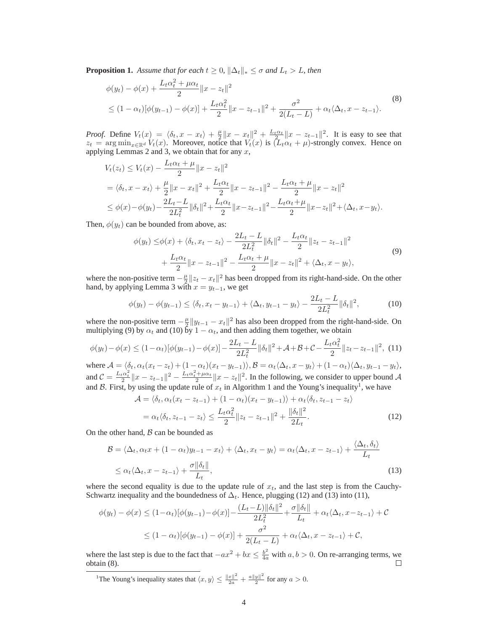**Proposition 1.** *Assume that for each*  $t \geq 0$ *,*  $\|\Delta_t\|_* \leq \sigma$  *and*  $L_t > L$ *, then* 

$$
\phi(y_t) - \phi(x) + \frac{L_t \alpha_t^2 + \mu \alpha_t}{2} ||x - z_t||^2
$$
\n
$$
\leq (1 - \alpha_t) [\phi(y_{t-1}) - \phi(x)] + \frac{L_t \alpha_t^2}{2} ||x - z_{t-1}||^2 + \frac{\sigma^2}{2(L_t - L)} + \alpha_t \langle \Delta_t, x - z_{t-1} \rangle.
$$
\n(8)

*Proof.* Define  $V_t(x) = \langle \delta_t, x - x_t \rangle + \frac{\mu}{2}$  $\frac{\mu}{2} \|x - x_t\|^2 + \frac{L_t \alpha_t}{2} \|x - z_{t-1}\|^2$ . It is easy to see that  $z_t = \arg \min_{x \in \mathbb{R}^d} V_t(x)$ . Moreover, notice that  $V_t(x)$  is  $(L_t \alpha_t + \mu)$ -strongly convex. Hence on applying Lemmas 2 and 3, we obtain that for any  $x$ ,

$$
V_t(z_t) \le V_t(x) - \frac{L_t \alpha_t + \mu}{2} \|x - z_t\|^2
$$
  
=  $\langle \delta_t, x - x_t \rangle + \frac{\mu}{2} \|x - x_t\|^2 + \frac{L_t \alpha_t}{2} \|x - z_{t-1}\|^2 - \frac{L_t \alpha_t + \mu}{2} \|x - z_t\|^2$   
 $\le \phi(x) - \phi(y_t) - \frac{2L_t - L}{2L_t^2} \|\delta_t\|^2 + \frac{L_t \alpha_t}{2} \|x - z_{t-1}\|^2 - \frac{L_t \alpha_t + \mu}{2} \|x - z_t\|^2 + \langle \Delta_t, x - y_t \rangle.$ 

Then,  $\phi(y_t)$  can be bounded from above, as:

$$
\phi(y_t) \leq \phi(x) + \langle \delta_t, x_t - z_t \rangle - \frac{2L_t - L}{2L_t^2} \|\delta_t\|^2 - \frac{L_t \alpha_t}{2} \|z_t - z_{t-1}\|^2 + \frac{L_t \alpha_t}{2} \|x - z_{t-1}\|^2 - \frac{L_t \alpha_t + \mu}{2} \|x - z_t\|^2 + \langle \Delta_t, x - y_t \rangle,
$$
\n(9)

where the non-positive term  $-\frac{\mu}{2}$  $\frac{\mu}{2}$ || $z_t - x_t$ ||<sup>2</sup> has been dropped from its right-hand-side. On the other hand, by applying Lemma 3 with  $x = y_{t-1}$ , we get

$$
\phi(y_t) - \phi(y_{t-1}) \le \langle \delta_t, x_t - y_{t-1} \rangle + \langle \Delta_t, y_{t-1} - y_t \rangle - \frac{2L_t - L}{2L_t^2} ||\delta_t||^2,
$$
\n(10)

where the non-positive term  $-\frac{\mu}{2}$  $\frac{\mu}{2} \| y_{t-1} - x_t \|^2$  has also been dropped from the right-hand-side. On multiplying (9) by  $\alpha_t$  and (10) by  $1 - \alpha_t$ , and then adding them together, we obtain

$$
\phi(y_t) - \phi(x) \le (1 - \alpha_t) [\phi(y_{t-1}) - \phi(x)] - \frac{2L_t - L}{2L_t^2} \|\delta_t\|^2 + \mathcal{A} + \mathcal{B} + \mathcal{C} - \frac{L_t \alpha_t^2}{2} \|z_t - z_{t-1}\|^2, \tag{11}
$$

where  $\mathcal{A} = \langle \delta_t, \alpha_t(x_t - z_t) + (1 - \alpha_t)(x_t - y_{t-1}) \rangle$ ,  $\mathcal{B} = \alpha_t \langle \Delta_t, x - y_t \rangle + (1 - \alpha_t) \langle \Delta_t, y_{t-1} - y_t \rangle$ , and  $C = \frac{L_t \alpha_t^2}{2} ||x - z_{t-1}||^2 - \frac{L_t \alpha_t^2 + \mu \alpha_t}{2}$  $\frac{1 + \mu \alpha_t}{2}$   $||x - z_t||^2$ . In the following, we consider to upper bound A and B. First, by using the update rule of  $x_t$  in Algorithm 1 and the Young's inequality<sup>1</sup>, we have

$$
\mathcal{A} = \langle \delta_t, \alpha_t (x_t - z_{t-1}) + (1 - \alpha_t)(x_t - y_{t-1}) \rangle + \alpha_t \langle \delta_t, z_{t-1} - z_t \rangle
$$
  
=  $\alpha_t \langle \delta_t, z_{t-1} - z_t \rangle \le \frac{L_t \alpha_t^2}{2} ||z_t - z_{t-1}||^2 + \frac{||\delta_t||^2}{2L_t}.$  (12)

On the other hand,  $\beta$  can be bounded as

$$
\mathcal{B} = \langle \Delta_t, \alpha_t x + (1 - \alpha_t) y_{t-1} - x_t \rangle + \langle \Delta_t, x_t - y_t \rangle = \alpha_t \langle \Delta_t, x - z_{t-1} \rangle + \frac{\langle \Delta_t, \delta_t \rangle}{L_t}
$$
  
 
$$
\leq \alpha_t \langle \Delta_t, x - z_{t-1} \rangle + \frac{\sigma ||\delta_t||}{L_t},
$$
 (13)

where the second equality is due to the update rule of  $x_t$ , and the last step is from the Cauchy-Schwartz inequality and the boundedness of  $\Delta_t$ . Hence, plugging (12) and (13) into (11),

$$
\phi(y_t) - \phi(x) \le (1 - \alpha_t) [\phi(y_{t-1}) - \phi(x)] - \frac{(L_t - L) ||\delta_t||^2}{2L_t^2} + \frac{\sigma ||\delta_t||}{L_t} + \alpha_t \langle \Delta_t, x - z_{t-1} \rangle + C
$$
  

$$
\le (1 - \alpha_t) [\phi(y_{t-1}) - \phi(x)] + \frac{\sigma^2}{2(L_t - L)} + \alpha_t \langle \Delta_t, x - z_{t-1} \rangle + C,
$$

where the last step is due to the fact that  $-ax^2 + bx \leq \frac{b^2}{4a}$  with  $a, b > 0$ . On re-arranging terms, we obtain (8).

<sup>1</sup>The Young's inequality states that  $\langle x, y \rangle \le \frac{\|x\|^2}{2a} + \frac{a\|y\|^2}{2}$  for any  $a > 0$ .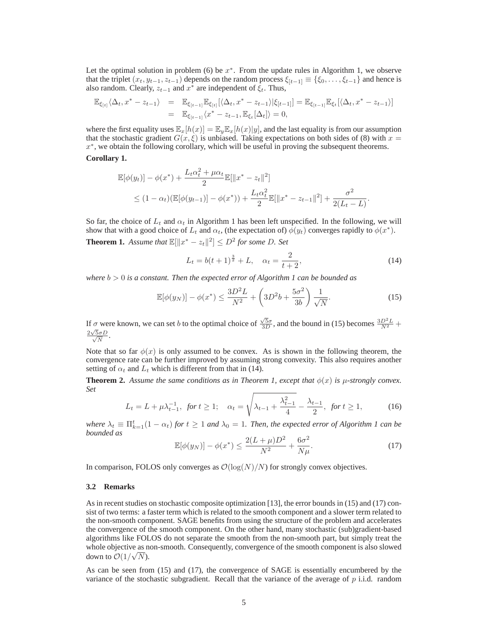Let the optimal solution in problem (6) be  $x^*$ . From the update rules in Algorithm 1, we observe that the triplet  $(x_t, y_{t-1}, z_{t-1})$  depends on the random process  $\xi_{[t-1]} \equiv {\xi_0, \ldots, \xi_{t-1}}$  and hence is also random. Clearly,  $z_{t-1}$  and  $x^*$  are independent of  $\xi_t$ . Thus,

$$
\mathbb{E}_{\xi_{[t]}} \langle \Delta_t, x^* - z_{t-1} \rangle = \mathbb{E}_{\xi_{[t-1]}} \mathbb{E}_{\xi_{[t]}} [\langle \Delta_t, x^* - z_{t-1} \rangle | \xi_{[t-1]}] = \mathbb{E}_{\xi_{[t-1]}} \mathbb{E}_{\xi_t} [\langle \Delta_t, x^* - z_{t-1} \rangle]
$$
  
=  $\mathbb{E}_{\xi_{[t-1]}} \langle x^* - z_{t-1}, \mathbb{E}_{\xi_t} [\Delta_t] \rangle = 0$ ,

where the first equality uses  $\mathbb{E}_x[h(x)] = \mathbb{E}_y \mathbb{E}_x[h(x)|y]$ , and the last equality is from our assumption that the stochastic gradient  $G(x, \xi)$  is unbiased. Taking expectations on both sides of (8) with  $x =$  $x^*$ , we obtain the following corollary, which will be useful in proving the subsequent theorems.

**Corollary 1.**

$$
\mathbb{E}[\phi(y_t)] - \phi(x^*) + \frac{L_t \alpha_t^2 + \mu \alpha_t}{2} \mathbb{E}[\|x^* - z_t\|^2] \n\le (1 - \alpha_t) (\mathbb{E}[\phi(y_{t-1})] - \phi(x^*)) + \frac{L_t \alpha_t^2}{2} \mathbb{E}[\|x^* - z_{t-1}\|^2] + \frac{\sigma^2}{2(L_t - L)}.
$$

So far, the choice of  $L_t$  and  $\alpha_t$  in Algorithm 1 has been left unspecified. In the following, we will show that with a good choice of  $L_t$  and  $\alpha_t$ , (the expectation of)  $\phi(y_t)$  converges rapidly to  $\phi(x^*)$ . **Theorem 1.** *Assume that*  $\mathbb{E}[\Vert x^* - z_t \Vert^2] \leq D^2$  *for some D. Set* 

$$
L_t = b(t+1)^{\frac{3}{2}} + L, \quad \alpha_t = \frac{2}{t+2}, \tag{14}
$$

*where*  $b > 0$  *is a constant. Then the expected error of Algorithm 1 can be bounded as* 

$$
\mathbb{E}[\phi(y_N)] - \phi(x^*) \le \frac{3D^2L}{N^2} + \left(3D^2b + \frac{5\sigma^2}{3b}\right)\frac{1}{\sqrt{N}}.\tag{15}
$$

If  $\sigma$  were known, we can set b to the optimal choice of  $\frac{\sqrt{5}\sigma}{3D}$ , and the bound in (15) becomes  $\frac{3D^2L}{N^2}$  +  $2\sqrt{ }$  $\frac{\sqrt{5}\sigma D}{\sqrt{N}}$  $\frac{\partial \sigma D}{\overline{N}}$ .

Note that so far  $\phi(x)$  is only assumed to be convex. As is shown in the following theorem, the convergence rate can be further improved by assuming strong convexity. This also requires another setting of  $\alpha_t$  and  $L_t$  which is different from that in (14).

**Theorem 2.** Assume the same conditions as in Theorem 1, except that  $\phi(x)$  is  $\mu$ -strongly convex. *Set*

$$
L_t = L + \mu \lambda_{t-1}^{-1}, \text{ for } t \ge 1; \quad \alpha_t = \sqrt{\lambda_{t-1} + \frac{\lambda_{t-1}^2}{4}} - \frac{\lambda_{t-1}}{2}, \text{ for } t \ge 1,
$$
 (16)

*where*  $\lambda_t \equiv \prod_{k=1}^t (1 - \alpha_t)$  *for*  $t \ge 1$  *and*  $\lambda_0 = 1$ *. Then, the expected error of Algorithm 1 can be bounded as*

$$
\mathbb{E}[\phi(y_N)] - \phi(x^*) \le \frac{2(L+\mu)D^2}{N^2} + \frac{6\sigma^2}{N\mu}.
$$
\n(17)

In comparison, FOLOS only converges as  $\mathcal{O}(\log(N)/N)$  for strongly convex objectives.

#### **3.2 Remarks**

As in recent studies on stochastic composite optimization [13], the error bounds in (15) and (17) consist of two terms: a faster term which is related to the smooth component and a slower term related to the non-smooth component. SAGE benefits from using the structure of the problem and accelerates the convergence of the smooth component. On the other hand, many stochastic (sub)gradient-based algorithms like FOLOS do not separate the smooth from the non-smooth part, but simply treat the whole objective as non-smooth. Consequently, convergence of the smooth component is also slowed down to  $\mathcal{O}(1/\sqrt{N})$ .

As can be seen from (15) and (17), the convergence of SAGE is essentially encumbered by the variance of the stochastic subgradient. Recall that the variance of the average of  $p$  i.i.d. random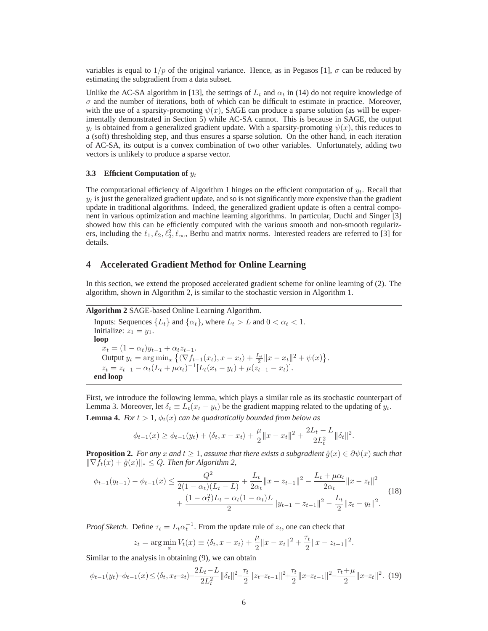variables is equal to  $1/p$  of the original variance. Hence, as in Pegasos [1],  $\sigma$  can be reduced by estimating the subgradient from a data subset.

Unlike the AC-SA algorithm in [13], the settings of  $L_t$  and  $\alpha_t$  in (14) do not require knowledge of  $\sigma$  and the number of iterations, both of which can be difficult to estimate in practice. Moreover, with the use of a sparsity-promoting  $\psi(x)$ , SAGE can produce a sparse solution (as will be experimentally demonstrated in Section 5) while AC-SA cannot. This is because in SAGE, the output  $y_t$  is obtained from a generalized gradient update. With a sparsity-promoting  $\psi(x)$ , this reduces to a (soft) thresholding step, and thus ensures a sparse solution. On the other hand, in each iteration of AC-SA, its output is a convex combination of two other variables. Unfortunately, adding two vectors is unlikely to produce a sparse vector.

#### **3.3** Efficient Computation of  $y_t$

The computational efficiency of Algorithm 1 hinges on the efficient computation of  $y_t$ . Recall that  $y_t$  is just the generalized gradient update, and so is not significantly more expensive than the gradient update in traditional algorithms. Indeed, the generalized gradient update is often a central component in various optimization and machine learning algorithms. In particular, Duchi and Singer [3] showed how this can be efficiently computed with the various smooth and non-smooth regularizers, including the  $\ell_1, \ell_2, \ell_2^2, \ell_\infty$ , Berhu and matrix norms. Interested readers are referred to [3] for details.

## **4 Accelerated Gradient Method for Online Learning**

In this section, we extend the proposed accelerated gradient scheme for online learning of (2). The algorithm, shown in Algorithm 2, is similar to the stochastic version in Algorithm 1.

**Algorithm 2** SAGE-based Online Learning Algorithm.

Inputs: Sequences  $\{L_t\}$  and  $\{\alpha_t\}$ , where  $L_t > L$  and  $0 < \alpha_t < 1$ . Initialize:  $z_1 = y_1$ . **loop**  $x_t = (1 - \alpha_t)y_{t-1} + \alpha_t z_{t-1}.$ Output  $y_t = \arg \min_x \left\{ \langle \nabla f_{t-1}(x_t), x - x_t \rangle + \frac{L_t}{2} ||x - x_t||^2 + \psi(x) \right\}.$  $z_t = z_{t-1} - \alpha_t (L_t + \mu \alpha_t)^{-1} [L_t(x_t - y_t) + \mu (z_{t-1} - x_t)].$ **end loop**

First, we introduce the following lemma, which plays a similar role as its stochastic counterpart of Lemma 3. Moreover, let  $\delta_t \equiv L_t(x_t - y_t)$  be the gradient mapping related to the updating of  $y_t$ .

**Lemma 4.** *For*  $t > 1$ ,  $\phi_t(x)$  *can be quadratically bounded from below as* 

$$
\phi_{t-1}(x) \ge \phi_{t-1}(y_t) + \langle \delta_t, x - x_t \rangle + \frac{\mu}{2} ||x - x_t||^2 + \frac{2L_t - L}{2L_t^2} ||\delta_t||^2.
$$

**Proposition 2.** *For any* x and  $t \geq 1$ , assume that there exists a subgradient  $\hat{g}(x) \in \partial \psi(x)$  such that  $\|\nabla f_t(x) + \hat{g}(x)\|_* \leq Q$ . Then for Algorithm 2,

$$
\phi_{t-1}(y_{t-1}) - \phi_{t-1}(x) \le \frac{Q^2}{2(1 - \alpha_t)(L_t - L)} + \frac{L_t}{2\alpha_t} \|x - z_{t-1}\|^2 - \frac{L_t + \mu \alpha_t}{2\alpha_t} \|x - z_t\|^2 + \frac{(1 - \alpha_t^2)L_t - \alpha_t(1 - \alpha_t)L}{2} \|y_{t-1} - z_{t-1}\|^2 - \frac{L_t}{2} \|z_t - y_t\|^2.
$$
\n(18)

*Proof Sketch.* Define  $\tau_t = L_t \alpha_t^{-1}$ . From the update rule of  $z_t$ , one can check that

$$
z_t = \arg\min_x V_t(x) \equiv \langle \delta_t, x - x_t \rangle + \frac{\mu}{2} ||x - x_t||^2 + \frac{\tau_t}{2} ||x - z_{t-1}||^2.
$$

Similar to the analysis in obtaining (9), we can obtain

$$
\phi_{t-1}(y_t) - \phi_{t-1}(x) \le \langle \delta_t, x_t - z_t \rangle - \frac{2L_t - L}{2L_t^2} \|\delta_t\|^2 - \frac{\tau_t}{2} \|z_t - z_{t-1}\|^2 + \frac{\tau_t}{2} \|x - z_{t-1}\|^2 - \frac{\tau_t + \mu}{2} \|x - z_t\|^2. \tag{19}
$$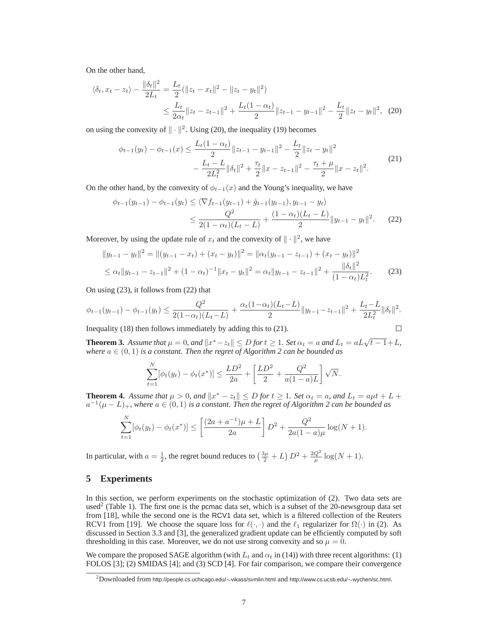On the other hand,

$$
\langle \delta_t, x_t - z_t \rangle - \frac{\|\delta_t\|^2}{2L_t} = \frac{L_t}{2} (\|z_t - x_t\|^2 - \|z_t - y_t\|^2)
$$
  

$$
\leq \frac{L_t}{2\alpha_t} \|z_t - z_{t-1}\|^2 + \frac{L_t(1 - \alpha_t)}{2} \|z_{t-1} - y_{t-1}\|^2 - \frac{L_t}{2} \|z_t - y_t\|^2, \tag{20}
$$

on using the convexity of  $\|\cdot\|^2$ . Using (20), the inequality (19) becomes

$$
\phi_{t-1}(y_t) - \phi_{t-1}(x) \le \frac{L_t(1-\alpha_t)}{2} \|z_{t-1} - y_{t-1}\|^2 - \frac{L_t}{2} \|z_t - y_t\|^2
$$
  

$$
- \frac{L_t - L}{2L_t^2} \|\delta_t\|^2 + \frac{\tau_t}{2} \|x - z_{t-1}\|^2 - \frac{\tau_t + \mu}{2} \|x - z_t\|^2.
$$
 (21)

On the other hand, by the convexity of  $\phi_{t-1}(x)$  and the Young's inequality, we have

$$
\phi_{t-1}(y_{t-1}) - \phi_{t-1}(y_t) \le \langle \nabla f_{t-1}(y_{t-1}) + \hat{g}_{t-1}(y_{t-1}), y_{t-1} - y_t \rangle
$$
  

$$
\le \frac{Q^2}{2(1 - \alpha_t)(L_t - L)} + \frac{(1 - \alpha_t)(L_t - L)}{2} ||y_{t-1} - y_t||^2.
$$
 (22)

Moreover, by using the update rule of  $x_t$  and the convexity of  $\|\cdot\|^2$ , we have

$$
||y_{t-1} - y_t||^2 = ||(y_{t-1} - x_t) + (x_t - y_t)||^2 = ||\alpha_t(y_{t-1} - z_{t-1}) + (x_t - y_t)||^2
$$
  
\n
$$
\leq \alpha_t ||y_{t-1} - z_{t-1}||^2 + (1 - \alpha_t)^{-1} ||x_t - y_t||^2 = \alpha_t ||y_{t-1} - z_{t-1}||^2 + \frac{||\delta_t||^2}{(1 - \alpha_t)L_t^2}.
$$
 (23)

On using (23), it follows from (22) that

$$
\phi_{t-1}(y_{t-1}) - \phi_{t-1}(y_t) \le \frac{Q^2}{2(1-\alpha_t)(L_t - L)} + \frac{\alpha_t(1-\alpha_t)(L_t - L)}{2} \|y_{t-1} - z_{t-1}\|^2 + \frac{L_t - L}{2L_t^2} \|\delta_t\|^2.
$$

Inequality (18) then follows immediately by adding this to (21).

$$
\Box \quad
$$

**Theorem 3.** *Assume that*  $\mu = 0$ *, and*  $||x^* - z_t|| \leq D$  *for*  $t \geq 1$ *. Set*  $\alpha_t = a$  *and*  $L_t = aL\sqrt{t-1} + L$ *, where* a ∈ (0, 1) *is a constant. Then the regret of Algorithm 2 can be bounded as*

$$
\sum_{t=1}^{N} [\phi_t(y_t) - \phi_t(x^*)] \le \frac{LD^2}{2a} + \left[ \frac{LD^2}{2} + \frac{Q^2}{a(1-a)L} \right] \sqrt{N}.
$$

**Theorem 4.** *Assume that*  $\mu > 0$ *, and*  $||x^* - z_t|| \le D$  *for*  $t \ge 1$ *. Set*  $\alpha_t = a$ *, and*  $L_t = a\mu t + L +$  $a^{-1}(\mu - L)_{+}$ , where  $a \in (0, 1)$  is a constant. Then the regret of Algorithm 2 can be bounded as

$$
\sum_{t=1}^{N} [\phi_t(y_t) - \phi_t(x^*)] \le \left[ \frac{(2a + a^{-1})\mu + L}{2a} \right] D^2 + \frac{Q^2}{2a(1-a)\mu} \log(N+1).
$$

In particular, with  $a = \frac{1}{2}$ , the regret bound reduces to  $\left(\frac{3\mu}{2} + L\right)D^2 + \frac{2Q^2}{\mu}\log(N+1)$ .

# **5 Experiments**

In this section, we perform experiments on the stochastic optimization of (2). Two data sets are used<sup>2</sup> (Table 1). The first one is the pcmac data set, which is a subset of the 20-newsgroup data set from [18], while the second one is the RCV1 data set, which is a filtered collection of the Reuters RCV1 from [19]. We choose the square loss for  $\ell(\cdot, \cdot)$  and the  $\ell_1$  regularizer for  $\Omega(\cdot)$  in (2). As discussed in Section 3.3 and [3], the generalized gradient update can be efficiently computed by soft thresholding in this case. Moreover, we do not use strong convexity and so  $\mu = 0$ .

We compare the proposed SAGE algorithm (with  $L_t$  and  $\alpha_t$  in (14)) with three recent algorithms: (1) FOLOS [3]; (2) SMIDAS [4]; and (3) SCD [4]. For fair comparison, we compare their convergence

<sup>2</sup>Downloaded from http://people.cs.uchicago.edu/∼vikass/svmlin.html and http://www.cs.ucsb.edu/∼wychen/sc.html.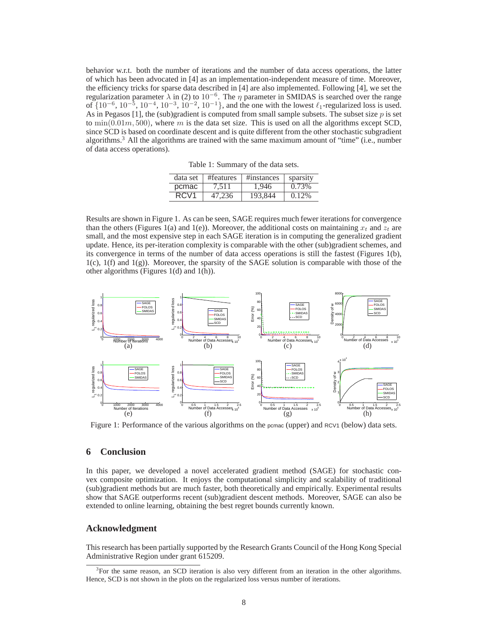behavior w.r.t. both the number of iterations and the number of data access operations, the latter of which has been advocated in [4] as an implementation-independent measure of time. Moreover, the efficiency tricks for sparse data described in [4] are also implemented. Following [4], we set the regularization parameter  $\lambda$  in (2) to  $10^{-6}$ . The  $\eta$  parameter in SMIDAS is searched over the range of  $\{10^{-6}, 10^{-5}, 10^{-4}, 10^{-3}, 10^{-2}, 10^{-1}\}$ , and the one with the lowest  $\ell_1$ -regularized loss is used. As in Pegasos [1], the (sub)gradient is computed from small sample subsets. The subset size  $p$  is set to  $\min(0.01m, 500)$ , where m is the data set size. This is used on all the algorithms except SCD, since SCD is based on coordinate descent and is quite different from the other stochastic subgradient algorithms.<sup>3</sup> All the algorithms are trained with the same maximum amount of "time" (i.e., number of data access operations).

|  | Table 1: Summary of the data sets. |  |  |  |
|--|------------------------------------|--|--|--|
|--|------------------------------------|--|--|--|

| data set         | #features | #instances | sparsity |
|------------------|-----------|------------|----------|
| pcmac            | 7.511     | 1.946      | 0.73%    |
| RCV <sub>1</sub> | 47.236    | 193.844    | $0.12\%$ |

Results are shown in Figure 1. As can be seen, SAGE requires much fewer iterations for convergence than the others (Figures 1(a) and 1(e)). Moreover, the additional costs on maintaining  $x_t$  and  $z_t$  are small, and the most expensive step in each SAGE iteration is in computing the generalized gradient update. Hence, its per-iteration complexity is comparable with the other (sub)gradient schemes, and its convergence in terms of the number of data access operations is still the fastest (Figures 1(b),  $1(c)$ ,  $1(f)$  and  $1(g)$ ). Moreover, the sparsity of the SAGE solution is comparable with those of the other algorithms (Figures 1(d) and 1(h)).



Figure 1: Performance of the various algorithms on the permac (upper) and RCV1 (below) data sets.

# **6 Conclusion**

In this paper, we developed a novel accelerated gradient method (SAGE) for stochastic convex composite optimization. It enjoys the computational simplicity and scalability of traditional (sub)gradient methods but are much faster, both theoretically and empirically. Experimental results show that SAGE outperforms recent (sub)gradient descent methods. Moreover, SAGE can also be extended to online learning, obtaining the best regret bounds currently known.

## **Acknowledgment**

This research has been partially supported by the Research Grants Council of the Hong Kong Special Administrative Region under grant 615209.

<sup>3</sup> For the same reason, an SCD iteration is also very different from an iteration in the other algorithms. Hence, SCD is not shown in the plots on the regularized loss versus number of iterations.